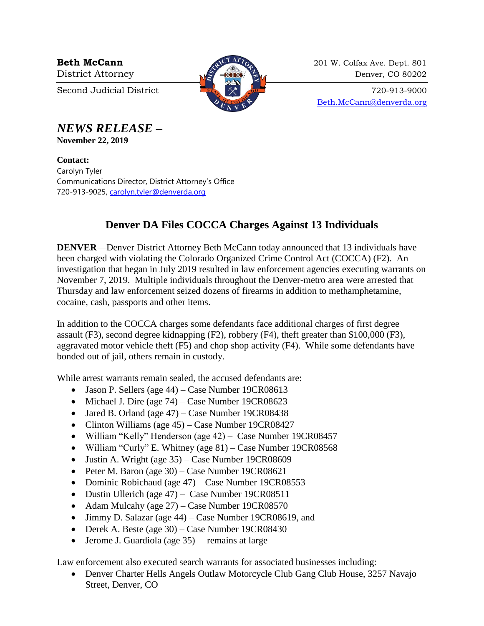

**Beth McCann** 201 W. Colfax Ave. Dept. 801 District Attorney 22 and 220 Denver, CO 80202

Second Judicial District  $\begin{array}{c} \boxed{31} \\ \boxed{20} \end{array}$  720-913-9000 [Beth.McCann@denverda.org](mailto:Beth.McCann@denverda.org)

*NEWS RELEASE* **–**

**November 22, 2019**

**Contact:**  Carolyn Tyler Communications Director, District Attorney's Office 720-913-9025, [carolyn.tyler@denverda.org](mailto:carolyn.tyler@denverda.org)

## **Denver DA Files COCCA Charges Against 13 Individuals**

**DENVER**—Denver District Attorney Beth McCann today announced that 13 individuals have been charged with violating the Colorado Organized Crime Control Act (COCCA) (F2). An investigation that began in July 2019 resulted in law enforcement agencies executing warrants on November 7, 2019. Multiple individuals throughout the Denver-metro area were arrested that Thursday and law enforcement seized dozens of firearms in addition to methamphetamine, cocaine, cash, passports and other items.

In addition to the COCCA charges some defendants face additional charges of first degree assault (F3), second degree kidnapping (F2), robbery (F4), theft greater than \$100,000 (F3), aggravated motor vehicle theft (F5) and chop shop activity (F4). While some defendants have bonded out of jail, others remain in custody.

While arrest warrants remain sealed, the accused defendants are:

- Jason P. Sellers (age 44) Case Number 19CR08613
- Michael J. Dire (age  $74$ ) Case Number 19CR08623
- Jared B. Orland (age 47) Case Number 19CR08438
- Clinton Williams (age 45) Case Number 19CR08427
- William "Kelly" Henderson (age 42) Case Number 19CR08457
- William "Curly" E. Whitney (age 81) Case Number 19CR08568
- Justin A. Wright (age  $35$ ) Case Number 19CR08609
- Peter M. Baron (age  $30$ ) Case Number 19CR08621
- Dominic Robichaud (age 47) Case Number 19CR08553
- Dustin Ullerich (age 47) Case Number 19CR08511
- Adam Mulcahy (age 27) Case Number 19CR08570
- Jimmy D. Salazar (age 44) Case Number 19CR08619, and
- Derek A. Beste (age 30) Case Number 19CR08430
- Jerome J. Guardiola (age 35) remains at large

Law enforcement also executed search warrants for associated businesses including:

• Denver Charter Hells Angels Outlaw Motorcycle Club Gang Club House, 3257 Navajo Street, Denver, CO